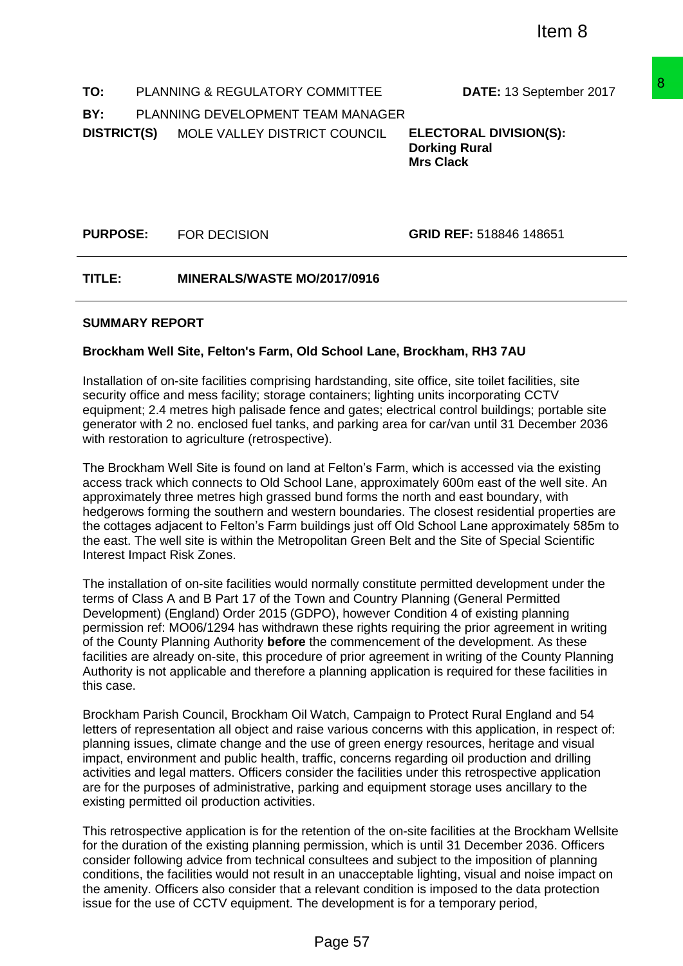**TO:** PLANNING & REGULATORY COMMITTEE **DATE:** 13 September 2017 **BY:** PLANNING DEVELOPMENT TEAM MANAGER **DISTRICT(S)** MOLE VALLEY DISTRICT COUNCIL **ELECTORAL DIVISION(S):**

**Dorking Rural Mrs Clack**

**PURPOSE:** FOR DECISION **GRID REF:** 518846 148651

**TITLE: MINERALS/WASTE MO/2017/0916** 

### **SUMMARY REPORT**

### **Brockham Well Site, Felton's Farm, Old School Lane, Brockham, RH3 7AU**

Installation of on-site facilities comprising hardstanding, site office, site toilet facilities, site security office and mess facility; storage containers; lighting units incorporating CCTV equipment; 2.4 metres high palisade fence and gates; electrical control buildings; portable site generator with 2 no. enclosed fuel tanks, and parking area for car/van until 31 December 2036 with restoration to agriculture (retrospective).

The Brockham Well Site is found on land at Felton's Farm, which is accessed via the existing access track which connects to Old School Lane, approximately 600m east of the well site. An approximately three metres high grassed bund forms the north and east boundary, with hedgerows forming the southern and western boundaries. The closest residential properties are the cottages adjacent to Felton's Farm buildings just off Old School Lane approximately 585m to the east. The well site is within the Metropolitan Green Belt and the Site of Special Scientific Interest Impact Risk Zones.

The installation of on-site facilities would normally constitute permitted development under the terms of Class A and B Part 17 of the Town and Country Planning (General Permitted Development) (England) Order 2015 (GDPO), however Condition 4 of existing planning permission ref: MO06/1294 has withdrawn these rights requiring the prior agreement in writing of the County Planning Authority **before** the commencement of the development. As these facilities are already on-site, this procedure of prior agreement in writing of the County Planning Authority is not applicable and therefore a planning application is required for these facilities in this case. COMMITTEE DATE: 13 September 2017<br>
26 FEM MANAGER<br>
ELEATORAL DIVISION(S):<br>
T COUNCIL ELECTORAL DIVISION(S):<br>
Dorking Rural<br>
Mrs Clack<br>
Mrs Clack<br>
SCRID REF: 518846 148651<br>
12017/0916<br>
SCRID REF: 518846 148651<br>
12017/0916<br>

Brockham Parish Council, Brockham Oil Watch, Campaign to Protect Rural England and 54 letters of representation all object and raise various concerns with this application, in respect of: planning issues, climate change and the use of green energy resources, heritage and visual impact, environment and public health, traffic, concerns regarding oil production and drilling activities and legal matters. Officers consider the facilities under this retrospective application are for the purposes of administrative, parking and equipment storage uses ancillary to the existing permitted oil production activities.

This retrospective application is for the retention of the on-site facilities at the Brockham Wellsite for the duration of the existing planning permission, which is until 31 December 2036. Officers consider following advice from technical consultees and subject to the imposition of planning conditions, the facilities would not result in an unacceptable lighting, visual and noise impact on the amenity. Officers also consider that a relevant condition is imposed to the data protection issue for the use of CCTV equipment. The development is for a temporary period,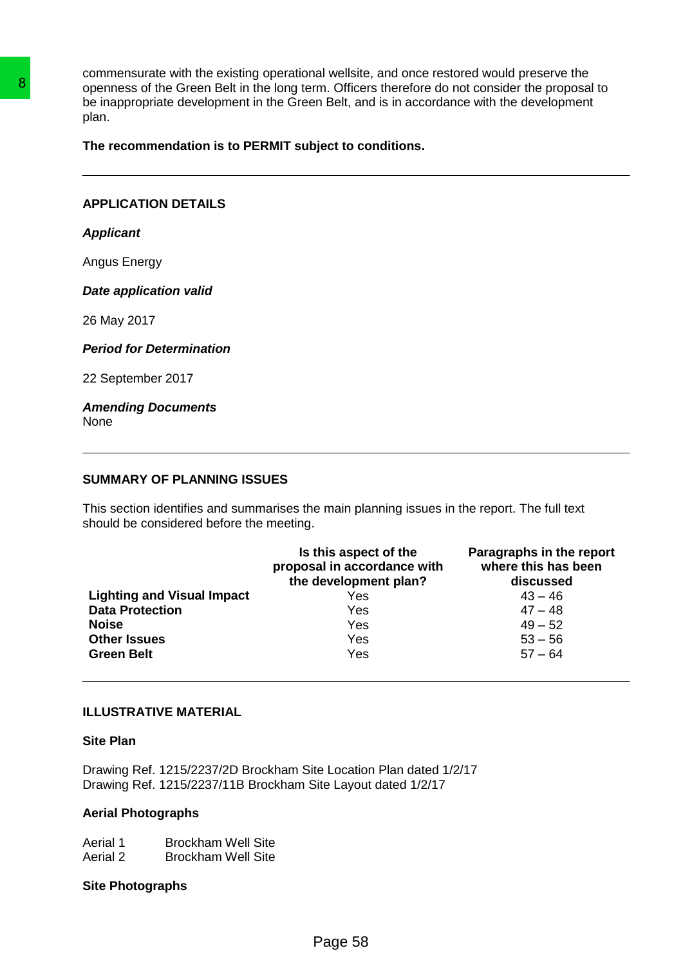commensurate with the existing operational wellsite, and once restored would preserve the openness of the Green Belt in the long term. Officers therefore do not consider the proposal to be inappropriate development in the Green Belt, and is in accordance with the development plan.

### **The recommendation is to PERMIT subject to conditions.**

## **APPLICATION DETAILS**

### *Applicant*

### *Date application valid*

### *Period for Determination*

#### *Amending Documents* None

### **SUMMARY OF PLANNING ISSUES**

| The recommendation is to PERMIT subject to conditions.                         |                                                                                                                                    |                                                              |  |
|--------------------------------------------------------------------------------|------------------------------------------------------------------------------------------------------------------------------------|--------------------------------------------------------------|--|
| <b>APPLICATION DETAILS</b>                                                     |                                                                                                                                    |                                                              |  |
| <b>Applicant</b>                                                               |                                                                                                                                    |                                                              |  |
| Angus Energy                                                                   |                                                                                                                                    |                                                              |  |
| <b>Date application valid</b>                                                  |                                                                                                                                    |                                                              |  |
| 26 May 2017                                                                    |                                                                                                                                    |                                                              |  |
| <b>Period for Determination</b>                                                |                                                                                                                                    |                                                              |  |
| 22 September 2017                                                              |                                                                                                                                    |                                                              |  |
| <b>Amending Documents</b><br>None                                              |                                                                                                                                    |                                                              |  |
| should be considered before the meeting.                                       |                                                                                                                                    |                                                              |  |
|                                                                                | Is this aspect of the<br>proposal in accordance with<br>the development plan?                                                      | Paragraphs in the report<br>where this has been<br>discussed |  |
| <b>Lighting and Visual Impact</b>                                              | Yes                                                                                                                                | $43 - 46$                                                    |  |
| <b>Data Protection</b>                                                         | Yes                                                                                                                                |                                                              |  |
| <b>Noise</b><br><b>Other Issues</b>                                            | Yes<br>Yes                                                                                                                         |                                                              |  |
| <b>Green Belt</b>                                                              | Yes                                                                                                                                |                                                              |  |
| <b>ILLUSTRATIVE MATERIAL</b>                                                   |                                                                                                                                    |                                                              |  |
| <b>Site Plan</b>                                                               |                                                                                                                                    | $47 - 48$<br>$49 - 52$<br>$53 - 56$<br>$57 - 64$             |  |
|                                                                                | Drawing Ref. 1215/2237/2D Brockham Site Location Plan dated 1/2/17<br>Drawing Ref. 1215/2237/11B Brockham Site Layout dated 1/2/17 |                                                              |  |
| <b>Aerial Photographs</b>                                                      |                                                                                                                                    |                                                              |  |
| Aerial 1<br><b>Brockham Well Site</b><br>Aerial 2<br><b>Brockham Well Site</b> |                                                                                                                                    |                                                              |  |

### **ILLUSTRATIVE MATERIAL**

#### **Site Plan**

### **Aerial Photographs**

| Aerial 1 | <b>Brockham Well Site</b> |
|----------|---------------------------|
| Aerial 2 | <b>Brockham Well Site</b> |

### **Site Photographs**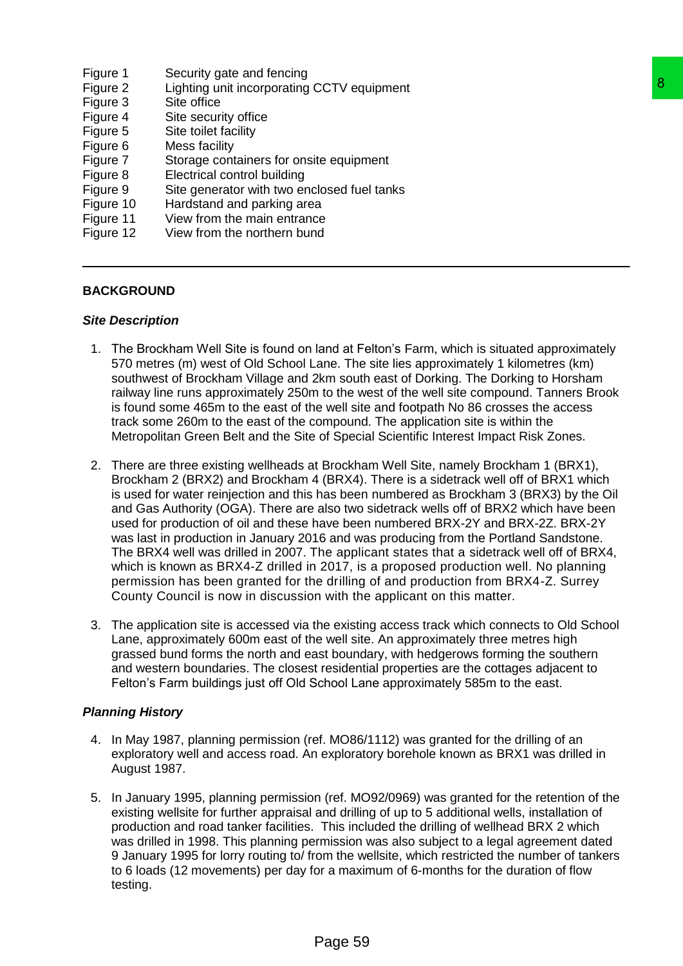- Figure 1 Security gate and fencing
- Figure 2 Lighting unit incorporating CCTV equipment
- Figure 3 Site office
- Figure 4 Site security office
- Figure 5 Site toilet facility
- Figure 6 Mess facility
- Figure 7 Storage containers for onsite equipment
- Figure 8 Electrical control building
- Figure 9 Site generator with two enclosed fuel tanks
- Figure 10 Hardstand and parking area
- Figure 11 View from the main entrance
- Figure 12 View from the northern bund

## **BACKGROUND**

### *Site Description*

- 1. The Brockham Well Site is found on land at Felton's Farm, which is situated approximately 570 metres (m) west of Old School Lane. The site lies approximately 1 kilometres (km) southwest of Brockham Village and 2km south east of Dorking. The Dorking to Horsham railway line runs approximately 250m to the west of the well site compound. Tanners Brook is found some 465m to the east of the well site and footpath No 86 crosses the access track some 260m to the east of the compound. The application site is within the Metropolitan Green Belt and the Site of Special Scientific Interest Impact Risk Zones.
- 2. There are three existing wellheads at Brockham Well Site, namely Brockham 1 (BRX1), Brockham 2 (BRX2) and Brockham 4 (BRX4). There is a sidetrack well off of BRX1 which is used for water reinjection and this has been numbered as Brockham 3 (BRX3) by the Oil and Gas Authority (OGA). There are also two sidetrack wells off of BRX2 which have been used for production of oil and these have been numbered BRX-2Y and BRX-2Z. BRX-2Y was last in production in January 2016 and was producing from the Portland Sandstone. The BRX4 well was drilled in 2007. The applicant states that a sidetrack well off of BRX4, which is known as BRX4-Z drilled in 2017, is a proposed production well. No planning permission has been granted for the drilling of and production from BRX4-Z. Surrey County Council is now in discussion with the applicant on this matter. CCTV equipment<br>
ite equipment<br>
ite equipment<br>
and at Felton's Farm, which is situated approximately<br>
ane. The site lies approximately 1 kilometres (km)<br>
ane. The site lies approximately 1 kilometres (km)<br>
ane. The site lie
- 3. The application site is accessed via the existing access track which connects to Old School Lane, approximately 600m east of the well site. An approximately three metres high grassed bund forms the north and east boundary, with hedgerows forming the southern and western boundaries. The closest residential properties are the cottages adjacent to Felton's Farm buildings just off Old School Lane approximately 585m to the east.

## *Planning History*

- 4. In May 1987, planning permission (ref. MO86/1112) was granted for the drilling of an exploratory well and access road. An exploratory borehole known as BRX1 was drilled in August 1987.
- 5. In January 1995, planning permission (ref. MO92/0969) was granted for the retention of the existing wellsite for further appraisal and drilling of up to 5 additional wells, installation of production and road tanker facilities. This included the drilling of wellhead BRX 2 which was drilled in 1998. This planning permission was also subject to a legal agreement dated 9 January 1995 for lorry routing to/ from the wellsite, which restricted the number of tankers to 6 loads (12 movements) per day for a maximum of 6-months for the duration of flow testing.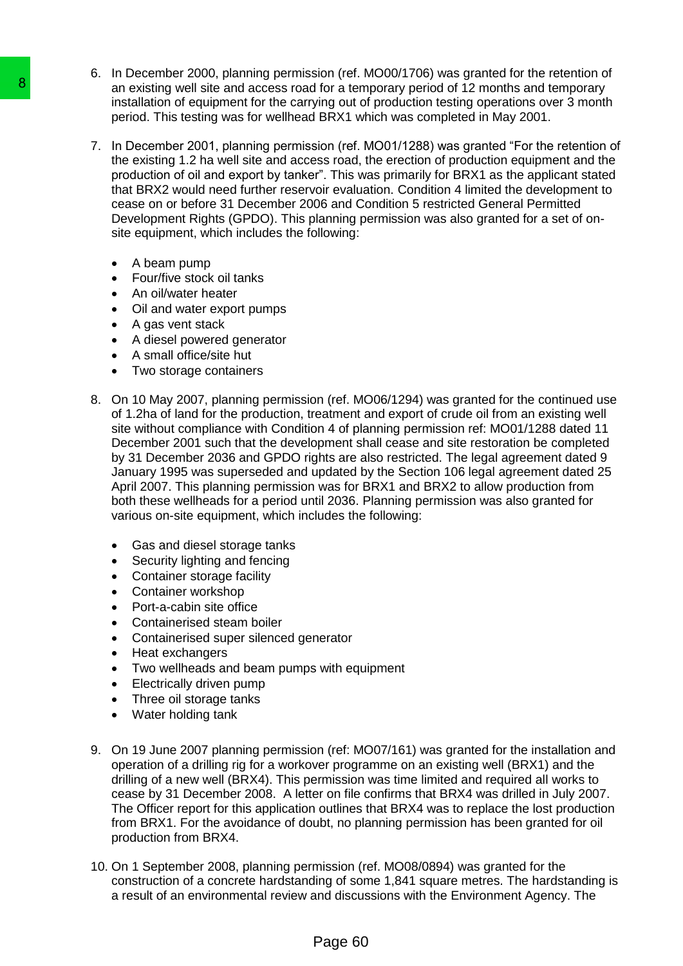- 6. In December 2000, planning permission (ref. MO00/1706) was granted for the retention of an existing well site and access road for a temporary period of 12 months and temporary installation of equipment for the carrying out of production testing operations over 3 month period. This testing was for wellhead BRX1 which was completed in May 2001.
- 7. In December 2001, planning permission (ref. MO01/1288) was granted "For the retention of the existing 1.2 ha well site and access road, the erection of production equipment and the production of oil and export by tanker". This was primarily for BRX1 as the applicant stated that BRX2 would need further reservoir evaluation. Condition 4 limited the development to cease on or before 31 December 2006 and Condition 5 restricted General Permitted Development Rights (GPDO). This planning permission was also granted for a set of onsite equipment, which includes the following:
	- A beam pump
	- Four/five stock oil tanks
	- An oil/water heater
	- Oil and water export pumps
	- A gas vent stack
	- A diesel powered generator
	- A small office/site hut
	- Two storage containers
- 8. On 10 May 2007, planning permission (ref. MO06/1294) was granted for the continued use of 1.2ha of land for the production, treatment and export of crude oil from an existing well site without compliance with Condition 4 of planning permission ref: MO01/1288 dated 11 December 2001 such that the development shall cease and site restoration be completed by 31 December 2036 and GPDO rights are also restricted. The legal agreement dated 9 January 1995 was superseded and updated by the Section 106 legal agreement dated 25 April 2007. This planning permission was for BRX1 and BRX2 to allow production from both these wellheads for a period until 2036. Planning permission was also granted for various on-site equipment, which includes the following: **a**<br>
an existing well sin and access road for a inmediate and single installation of equipment for the carrying out of<br>
pariod. This testing was for wellhead BRX1 w<br>
7. In December 2001, planning permission (ref. 1716 well
	- Gas and diesel storage tanks
	- Security lighting and fencing
	- Container storage facility
	- Container workshop
	- Port-a-cabin site office
	- Containerised steam boiler
	- Containerised super silenced generator
	- Heat exchangers
	- Two wellheads and beam pumps with equipment
	- Electrically driven pump
	- Three oil storage tanks
	- Water holding tank
	- 9. On 19 June 2007 planning permission (ref: MO07/161) was granted for the installation and operation of a drilling rig for a workover programme on an existing well (BRX1) and the drilling of a new well (BRX4). This permission was time limited and required all works to cease by 31 December 2008. A letter on file confirms that BRX4 was drilled in July 2007. The Officer report for this application outlines that BRX4 was to replace the lost production from BRX1. For the avoidance of doubt, no planning permission has been granted for oil production from BRX4.
	- 10. On 1 September 2008, planning permission (ref. MO08/0894) was granted for the construction of a concrete hardstanding of some 1,841 square metres. The hardstanding is a result of an environmental review and discussions with the Environment Agency. The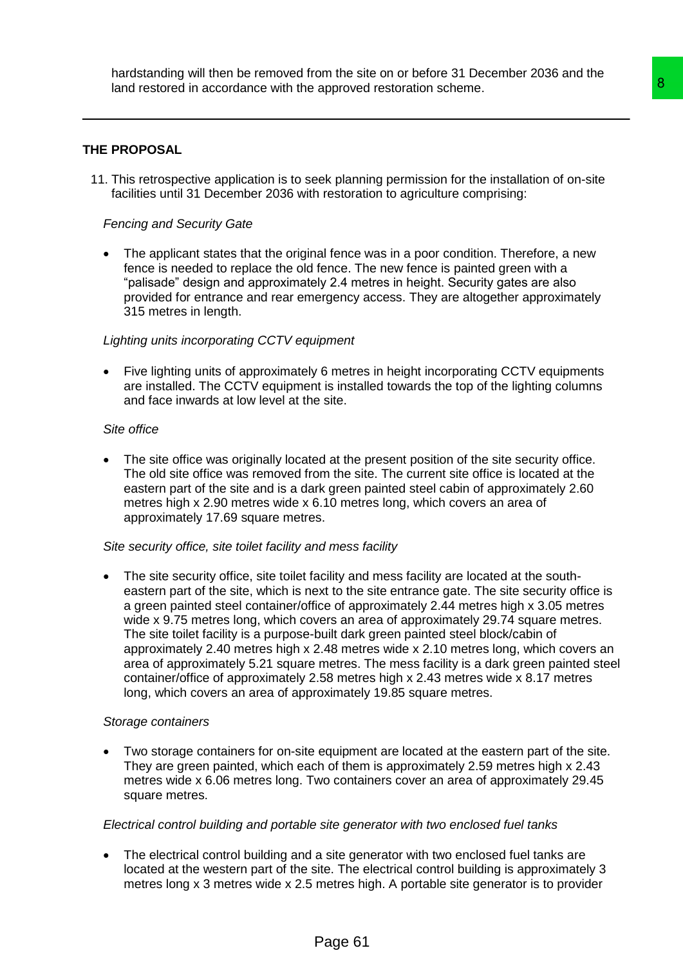## **THE PROPOSAL**

11. This retrospective application is to seek planning permission for the installation of on-site facilities until 31 December 2036 with restoration to agriculture comprising:

## *Fencing and Security Gate*

 The applicant states that the original fence was in a poor condition. Therefore, a new fence is needed to replace the old fence. The new fence is painted green with a "palisade" design and approximately 2.4 metres in height. Security gates are also provided for entrance and rear emergency access. They are altogether approximately 315 metres in length.

### *Lighting units incorporating CCTV equipment*

• Five lighting units of approximately 6 metres in height incorporating CCTV equipments are installed. The CCTV equipment is installed towards the top of the lighting columns and face inwards at low level at the site.

### *Site office*

 The site office was originally located at the present position of the site security office. The old site office was removed from the site. The current site office is located at the eastern part of the site and is a dark green painted steel cabin of approximately 2.60 metres high x 2.90 metres wide x 6.10 metres long, which covers an area of approximately 17.69 square metres.

### *Site security office, site toilet facility and mess facility*

 The site security office, site toilet facility and mess facility are located at the southeastern part of the site, which is next to the site entrance gate. The site security office is a green painted steel container/office of approximately 2.44 metres high x 3.05 metres wide x 9.75 metres long, which covers an area of approximately 29.74 square metres. The site toilet facility is a purpose-built dark green painted steel block/cabin of approximately 2.40 metres high x 2.48 metres wide x 2.10 metres long, which covers an area of approximately 5.21 square metres. The mess facility is a dark green painted steel container/office of approximately 2.58 metres high x 2.43 metres wide x 8.17 metres long, which covers an area of approximately 19.85 square metres. approved restoration scheme.<br>
Sek planning permission for the installation of on-site<br>
The restoration to agriculture comprising:<br>
all fence was in a poor condition. Therefore, a new<br>
fence. The new fence is paired green w

### *Storage containers*

 Two storage containers for on-site equipment are located at the eastern part of the site. They are green painted, which each of them is approximately 2.59 metres high x 2.43 metres wide x 6.06 metres long. Two containers cover an area of approximately 29.45 square metres.

### *Electrical control building and portable site generator with two enclosed fuel tanks*

• The electrical control building and a site generator with two enclosed fuel tanks are located at the western part of the site. The electrical control building is approximately 3 metres long x 3 metres wide x 2.5 metres high. A portable site generator is to provider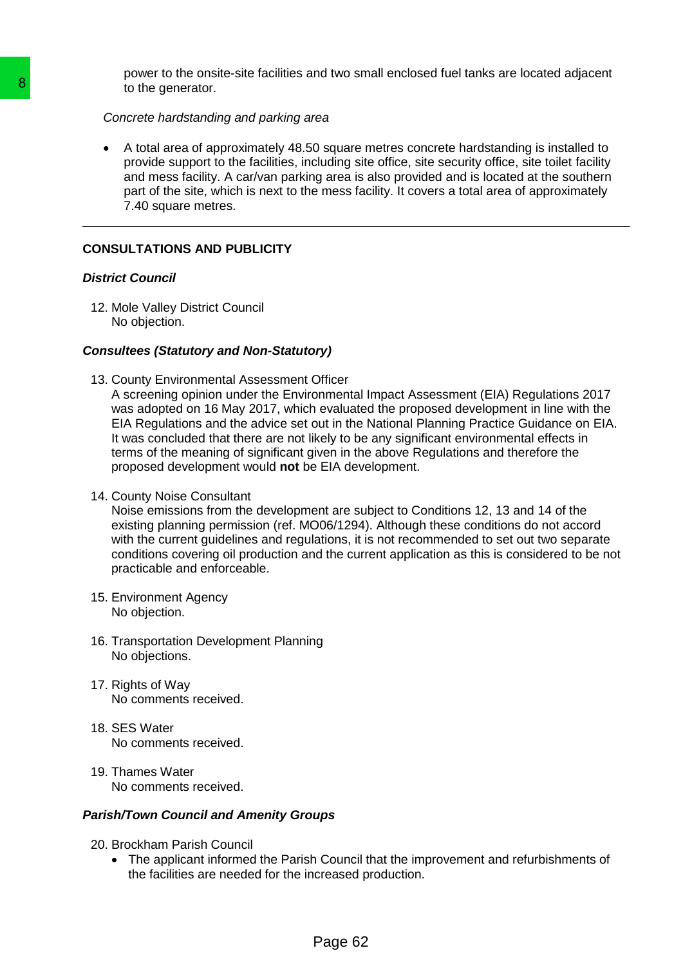power to the onsite-site facilities and two small enclosed fuel tanks are located adjacent to the generator.

### *Concrete hardstanding and parking area*

 A total area of approximately 48.50 square metres concrete hardstanding is installed to provide support to the facilities, including site office, site security office, site toilet facility and mess facility. A car/van parking area is also provided and is located at the southern part of the site, which is next to the mess facility. It covers a total area of approximately 7.40 square metres.

# **CONSULTATIONS AND PUBLICITY**

## *District Council*

12. Mole Valley District Council No objection.

## *Consultees (Statutory and Non-Statutory)*

13. County Environmental Assessment Officer

A screening opinion under the Environmental Impact Assessment (EIA) Regulations 2017 was adopted on 16 May 2017, which evaluated the proposed development in line with the EIA Regulations and the advice set out in the National Planning Practice Guidance on EIA. It was concluded that there are not likely to be any significant environmental effects in terms of the meaning of significant given in the above Regulations and therefore the proposed development would **not** be EIA development. 8<br>
To the generator.<br>
2 Concrete hardstanding and parking area<br>
A total area of approximately 48.50 square<br>
provide support to the facilities, including strain<br>
and meas facility. A car/van parking area<br>
pract of the site,

14. County Noise Consultant

Noise emissions from the development are subject to Conditions 12, 13 and 14 of the existing planning permission (ref. MO06/1294). Although these conditions do not accord with the current guidelines and regulations, it is not recommended to set out two separate conditions covering oil production and the current application as this is considered to be not practicable and enforceable.

- 15. Environment Agency No objection.
- 16. Transportation Development Planning No objections.
- 17. Rights of Way No comments received.
- 18. SES Water No comments received.
- 19. Thames Water No comments received.

## *Parish/Town Council and Amenity Groups*

- 20. Brockham Parish Council
	- The applicant informed the Parish Council that the improvement and refurbishments of the facilities are needed for the increased production.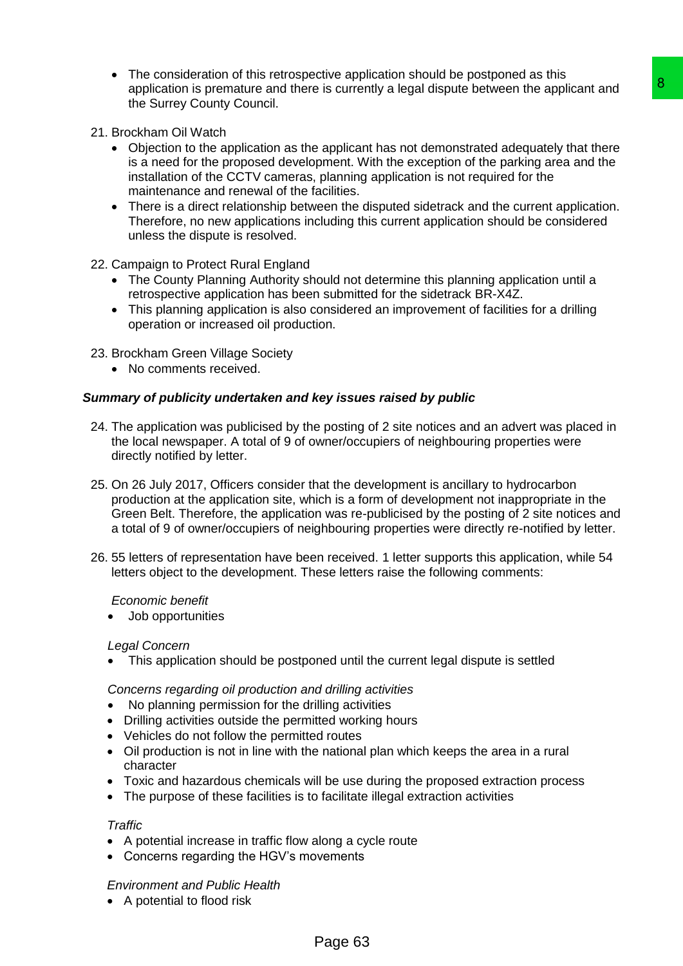- The consideration of this retrospective application should be postponed as this application is premature and there is currently a legal dispute between the applicant and the Surrey County Council.
- 21. Brockham Oil Watch
	- Objection to the application as the applicant has not demonstrated adequately that there is a need for the proposed development. With the exception of the parking area and the installation of the CCTV cameras, planning application is not required for the maintenance and renewal of the facilities.
	- There is a direct relationship between the disputed sidetrack and the current application. Therefore, no new applications including this current application should be considered unless the dispute is resolved.
- 22. Campaign to Protect Rural England
	- The County Planning Authority should not determine this planning application until a retrospective application has been submitted for the sidetrack BR-X4Z.
	- This planning application is also considered an improvement of facilities for a drilling operation or increased oil production.
- 23. Brockham Green Village Society
	- No comments received.

## *Summary of publicity undertaken and key issues raised by public*

- 24. The application was publicised by the posting of 2 site notices and an advert was placed in the local newspaper. A total of 9 of owner/occupiers of neighbouring properties were directly notified by letter.
- 25. On 26 July 2017, Officers consider that the development is ancillary to hydrocarbon production at the application site, which is a form of development not inappropriate in the Green Belt. Therefore, the application was re-publicised by the posting of 2 site notices and a total of 9 of owner/occupiers of neighbouring properties were directly re-notified by letter. the control is a solution to the splitcant of the splitcant is a splitcant has not demonstrated adequately that there applicant has not demonstrated adequately that there application is not dequired for the parting area an
- 26. 55 letters of representation have been received. 1 letter supports this application, while 54 letters object to the development. These letters raise the following comments:

## *Economic benefit*

Job opportunities

## *Legal Concern*

This application should be postponed until the current legal dispute is settled

*Concerns regarding oil production and drilling activities*

- No planning permission for the drilling activities
- Drilling activities outside the permitted working hours
- Vehicles do not follow the permitted routes
- Oil production is not in line with the national plan which keeps the area in a rural character
- Toxic and hazardous chemicals will be use during the proposed extraction process
- The purpose of these facilities is to facilitate illegal extraction activities

## *Traffic*

- A potential increase in traffic flow along a cycle route
- Concerns regarding the HGV's movements

## *Environment and Public Health*

• A potential to flood risk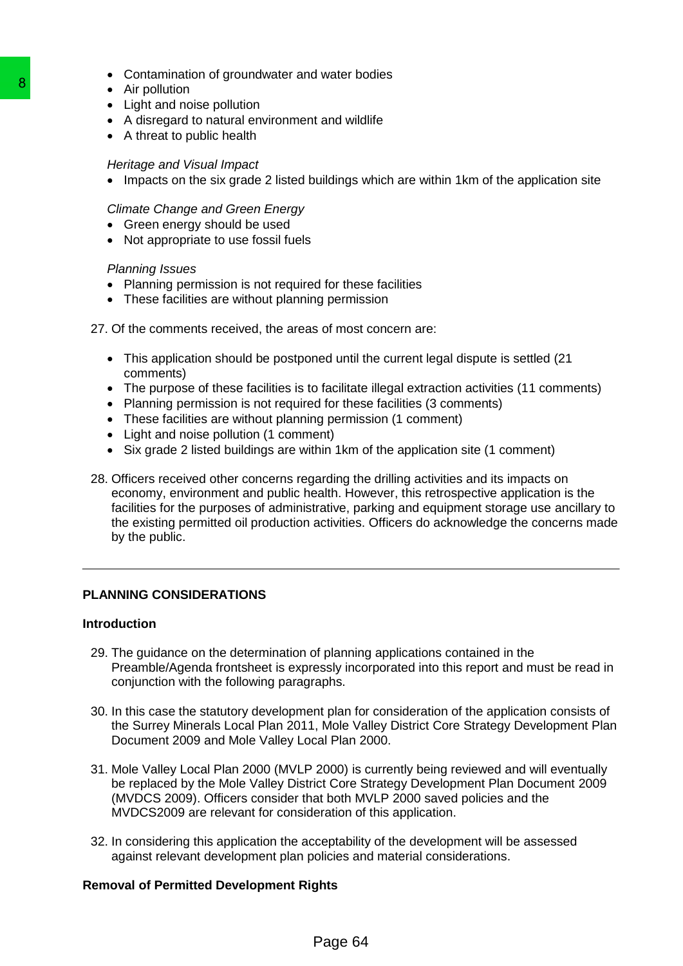- Contamination of groundwater and water bodies
- Air pollution
- Light and noise pollution
- A disregard to natural environment and wildlife
- A threat to public health

### *Heritage and Visual Impact*

• Impacts on the six grade 2 listed buildings which are within 1km of the application site

## *Climate Change and Green Energy*

- Green energy should be used
- Not appropriate to use fossil fuels

### *Planning Issues*

- Planning permission is not required for these facilities
- These facilities are without planning permission

### 27. Of the comments received, the areas of most concern are:

- This application should be postponed until the current legal dispute is settled (21) comments)
- The purpose of these facilities is to facilitate illegal extraction activities (11 comments)
- Planning permission is not required for these facilities (3 comments)
- These facilities are without planning permission (1 comment)
- Light and noise pollution (1 comment)
- Six grade 2 listed buildings are within 1km of the application site (1 comment)
- 28. Officers received other concerns regarding the drilling activities and its impacts on economy, environment and public health. However, this retrospective application is the facilities for the purposes of administrative, parking and equipment storage use ancillary to the existing permitted oil production activities. Officers do acknowledge the concerns made by the public. **B**<br>
• Air pollution<br>
• Light and noise pollution<br>
• A disterated to natural environment and wild<br>
• A disterting both the basic model environment and wild<br>
• Heritards point Water and Green Energy<br>
• Chinnels Change and V

## **PLANNING CONSIDERATIONS**

### **Introduction**

- 29. The guidance on the determination of planning applications contained in the Preamble/Agenda frontsheet is expressly incorporated into this report and must be read in conjunction with the following paragraphs.
- 30. In this case the statutory development plan for consideration of the application consists of the Surrey Minerals Local Plan 2011, Mole Valley District Core Strategy Development Plan Document 2009 and Mole Valley Local Plan 2000.
- 31. Mole Valley Local Plan 2000 (MVLP 2000) is currently being reviewed and will eventually be replaced by the Mole Valley District Core Strategy Development Plan Document 2009 (MVDCS 2009). Officers consider that both MVLP 2000 saved policies and the MVDCS2009 are relevant for consideration of this application.
- 32. In considering this application the acceptability of the development will be assessed against relevant development plan policies and material considerations.

### **Removal of Permitted Development Rights**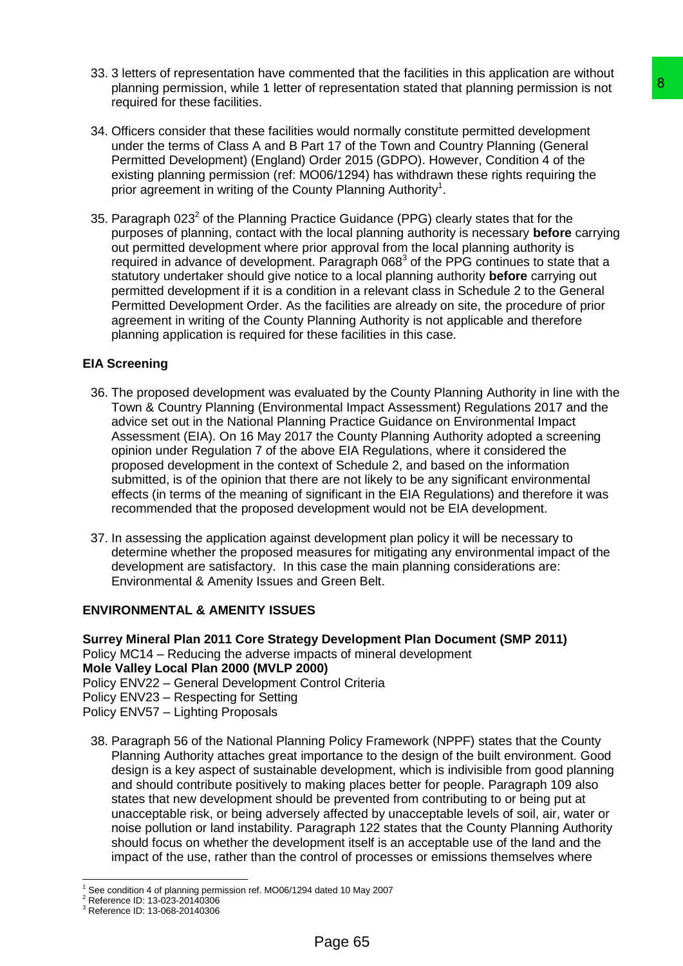- 33. 3 letters of representation have commented that the facilities in this application are without planning permission, while 1 letter of representation stated that planning permission is not required for these facilities.
- 34. Officers consider that these facilities would normally constitute permitted development under the terms of Class A and B Part 17 of the Town and Country Planning (General Permitted Development) (England) Order 2015 (GDPO). However, Condition 4 of the existing planning permission (ref: MO06/1294) has withdrawn these rights requiring the prior agreement in writing of the County Planning Authority<sup>1</sup>.
- 35. Paragraph 023 $^2$  of the Planning Practice Guidance (PPG) clearly states that for the purposes of planning, contact with the local planning authority is necessary **before** carrying out permitted development where prior approval from the local planning authority is required in advance of development. Paragraph  $068<sup>3</sup>$  of the PPG continues to state that a statutory undertaker should give notice to a local planning authority **before** carrying out permitted development if it is a condition in a relevant class in Schedule 2 to the General Permitted Development Order. As the facilities are already on site, the procedure of prior agreement in writing of the County Planning Authority is not applicable and therefore planning application is required for these facilities in this case.

# **EIA Screening**

- 36. The proposed development was evaluated by the County Planning Authority in line with the Town & Country Planning (Environmental Impact Assessment) Regulations 2017 and the advice set out in the National Planning Practice Guidance on Environmental Impact Assessment (EIA). On 16 May 2017 the County Planning Authority adopted a screening opinion under Regulation 7 of the above EIA Regulations, where it considered the proposed development in the context of Schedule 2, and based on the information submitted, is of the opinion that there are not likely to be any significant environmental effects (in terms of the meaning of significant in the EIA Regulations) and therefore it was recommended that the proposed development would not be EIA development.
- 37. In assessing the application against development plan policy it will be necessary to determine whether the proposed measures for mitigating any environmental impact of the development are satisfactory. In this case the main planning considerations are: Environmental & Amenity Issues and Green Belt.

## **ENVIRONMENTAL & AMENITY ISSUES**

**Surrey Mineral Plan 2011 Core Strategy Development Plan Document (SMP 2011)** Policy MC14 – Reducing the adverse impacts of mineral development **Mole Valley Local Plan 2000 (MVLP 2000)** Policy ENV22 – General Development Control Criteria Policy ENV23 – Respecting for Setting

Policy ENV57 – Lighting Proposals

38. Paragraph 56 of the National Planning Policy Framework (NPPF) states that the County Planning Authority attaches great importance to the design of the built environment. Good design is a key aspect of sustainable development, which is indivisible from good planning and should contribute positively to making places better for people. Paragraph 109 also states that new development should be prevented from contributing to or being put at unacceptable risk, or being adversely affected by unacceptable levels of soil, air, water or noise pollution or land instability. Paragraph 122 states that the County Planning Authority should focus on whether the development itself is an acceptable use of the land and the impact of the use, rather than the control of processes or emissions themselves where representation stated that planning permission is not<br>
would normally constitute permitted development<br>
for 17 of the Town and County Planning (General<br>
would normally constitute permitted development<br>
for 17 of the Town a

<sup>-</sup><sup>1</sup> See condition 4 of planning permission ref. MO06/1294 dated 10 May 2007

<sup>&</sup>lt;sup>2</sup> Reference ID: 13-023-20140306

<sup>3</sup> Reference ID: 13-068-20140306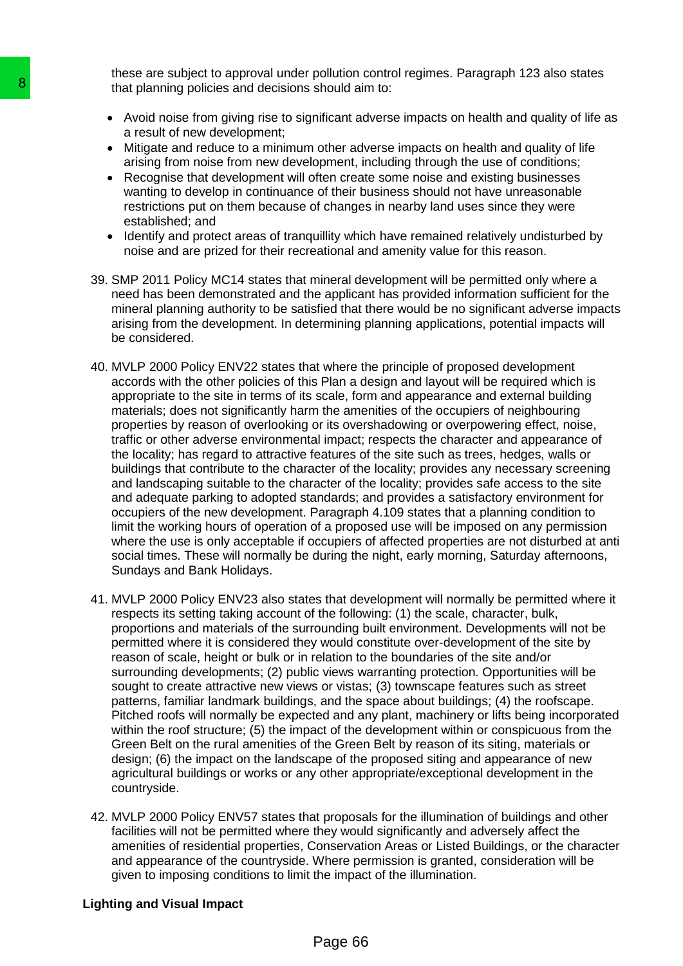these are subject to approval under pollution control regimes. Paragraph 123 also states that planning policies and decisions should aim to:

- Avoid noise from giving rise to significant adverse impacts on health and quality of life as a result of new development;
- Mitigate and reduce to a minimum other adverse impacts on health and quality of life arising from noise from new development, including through the use of conditions;
- Recognise that development will often create some noise and existing businesses wanting to develop in continuance of their business should not have unreasonable restrictions put on them because of changes in nearby land uses since they were established; and
- Identify and protect areas of tranquillity which have remained relatively undisturbed by noise and are prized for their recreational and amenity value for this reason.
- 39. SMP 2011 Policy MC14 states that mineral development will be permitted only where a need has been demonstrated and the applicant has provided information sufficient for the mineral planning authority to be satisfied that there would be no significant adverse impacts arising from the development. In determining planning applications, potential impacts will be considered.
- 40. MVLP 2000 Policy ENV22 states that where the principle of proposed development accords with the other policies of this Plan a design and layout will be required which is appropriate to the site in terms of its scale, form and appearance and external building materials; does not significantly harm the amenities of the occupiers of neighbouring properties by reason of overlooking or its overshadowing or overpowering effect, noise, traffic or other adverse environmental impact; respects the character and appearance of the locality; has regard to attractive features of the site such as trees, hedges, walls or buildings that contribute to the character of the locality; provides any necessary screening and landscaping suitable to the character of the locality; provides safe access to the site and adequate parking to adopted standards; and provides a satisfactory environment for occupiers of the new development. Paragraph 4.109 states that a planning condition to limit the working hours of operation of a proposed use will be imposed on any permission where the use is only acceptable if occupiers of affected properties are not disturbed at anti social times. These will normally be during the night, early morning, Saturday afternoons, Sundays and Bank Holidays. **B**<br>
that planning policies and decisions should air<br> **A** Avoid noise from giving rise to significant ad<br>
a Result of new development:<br>
Miligate and reduce to a minimum other advertiser<br>
are started in the mode to a minimu
	- 41. MVLP 2000 Policy ENV23 also states that development will normally be permitted where it respects its setting taking account of the following: (1) the scale, character, bulk, proportions and materials of the surrounding built environment. Developments will not be permitted where it is considered they would constitute over-development of the site by reason of scale, height or bulk or in relation to the boundaries of the site and/or surrounding developments; (2) public views warranting protection. Opportunities will be sought to create attractive new views or vistas; (3) townscape features such as street patterns, familiar landmark buildings, and the space about buildings; (4) the roofscape. Pitched roofs will normally be expected and any plant, machinery or lifts being incorporated within the roof structure; (5) the impact of the development within or conspicuous from the Green Belt on the rural amenities of the Green Belt by reason of its siting, materials or design; (6) the impact on the landscape of the proposed siting and appearance of new agricultural buildings or works or any other appropriate/exceptional development in the countryside.
	- 42. MVLP 2000 Policy ENV57 states that proposals for the illumination of buildings and other facilities will not be permitted where they would significantly and adversely affect the amenities of residential properties, Conservation Areas or Listed Buildings, or the character and appearance of the countryside. Where permission is granted, consideration will be given to imposing conditions to limit the impact of the illumination.

## **Lighting and Visual Impact**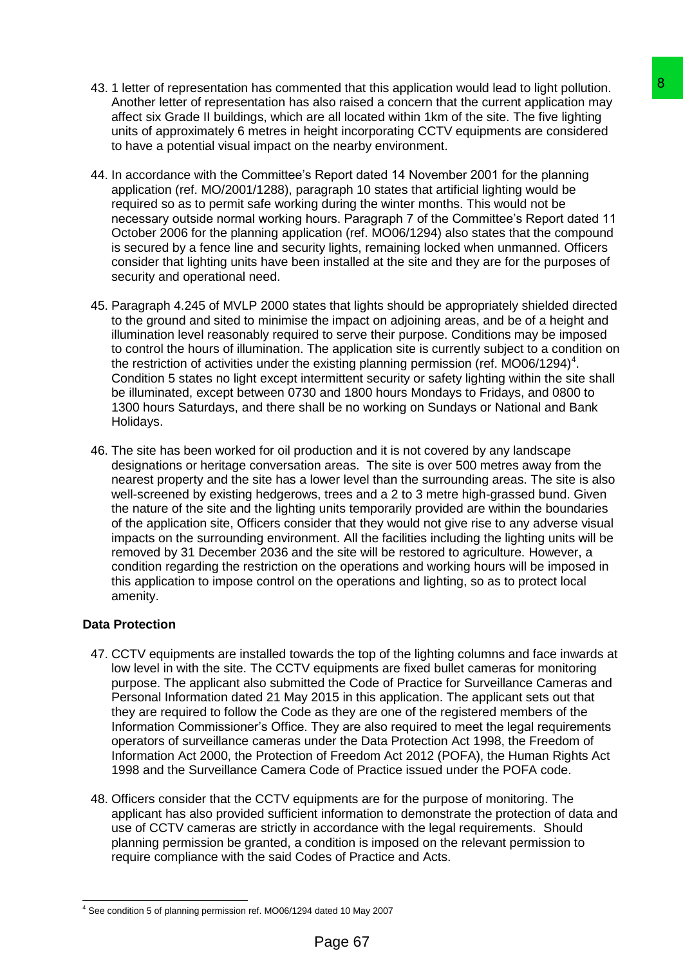- 43. 1 letter of representation has commented that this application would lead to light pollution. Another letter of representation has also raised a concern that the current application may affect six Grade II buildings, which are all located within 1km of the site. The five lighting units of approximately 6 metres in height incorporating CCTV equipments are considered to have a potential visual impact on the nearby environment.
- 44. In accordance with the Committee's Report dated 14 November 2001 for the planning application (ref. MO/2001/1288), paragraph 10 states that artificial lighting would be required so as to permit safe working during the winter months. This would not be necessary outside normal working hours. Paragraph 7 of the Committee's Report dated 11 October 2006 for the planning application (ref. MO06/1294) also states that the compound is secured by a fence line and security lights, remaining locked when unmanned. Officers consider that lighting units have been installed at the site and they are for the purposes of security and operational need.
- 45. Paragraph 4.245 of MVLP 2000 states that lights should be appropriately shielded directed to the ground and sited to minimise the impact on adjoining areas, and be of a height and illumination level reasonably required to serve their purpose. Conditions may be imposed to control the hours of illumination. The application site is currently subject to a condition on the restriction of activities under the existing planning permission (ref. MO06/1294)<sup>4</sup>. Condition 5 states no light except intermittent security or safety lighting within the site shall be illuminated, except between 0730 and 1800 hours Mondays to Fridays, and 0800 to 1300 hours Saturdays, and there shall be no working on Sundays or National and Bank Holidays.
- 46. The site has been worked for oil production and it is not covered by any landscape designations or heritage conversation areas. The site is over 500 metres away from the nearest property and the site has a lower level than the surrounding areas. The site is also well-screened by existing hedgerows, trees and a 2 to 3 metre high-grassed bund. Given the nature of the site and the lighting units temporarily provided are within the boundaries of the application site, Officers consider that they would not give rise to any adverse visual impacts on the surrounding environment. All the facilities including the lighting units will be removed by 31 December 2036 and the site will be restored to agriculture. However, a condition regarding the restriction on the operations and working hours will be imposed in this application to impose control on the operations and lighting, so as to protect local amenity. ntad that this application would lead to light pollution.<br>
andso raised a concern that the current application may<br>
also raised a concern that the current application may<br>
real llocated within 1 km of the site. The five li

# **Data Protection**

- 47. CCTV equipments are installed towards the top of the lighting columns and face inwards at low level in with the site. The CCTV equipments are fixed bullet cameras for monitoring purpose. The applicant also submitted the Code of Practice for Surveillance Cameras and Personal Information dated 21 May 2015 in this application. The applicant sets out that they are required to follow the Code as they are one of the registered members of the Information Commissioner's Office. They are also required to meet the legal requirements operators of surveillance cameras under the Data Protection Act 1998, the Freedom of Information Act 2000, the Protection of Freedom Act 2012 (POFA), the Human Rights Act 1998 and the Surveillance Camera Code of Practice issued under the POFA code.
- 48. Officers consider that the CCTV equipments are for the purpose of monitoring. The applicant has also provided sufficient information to demonstrate the protection of data and use of CCTV cameras are strictly in accordance with the legal requirements. Should planning permission be granted, a condition is imposed on the relevant permission to require compliance with the said Codes of Practice and Acts.

<sup>-</sup><sup>4</sup> See condition 5 of planning permission ref. MO06/1294 dated 10 May 2007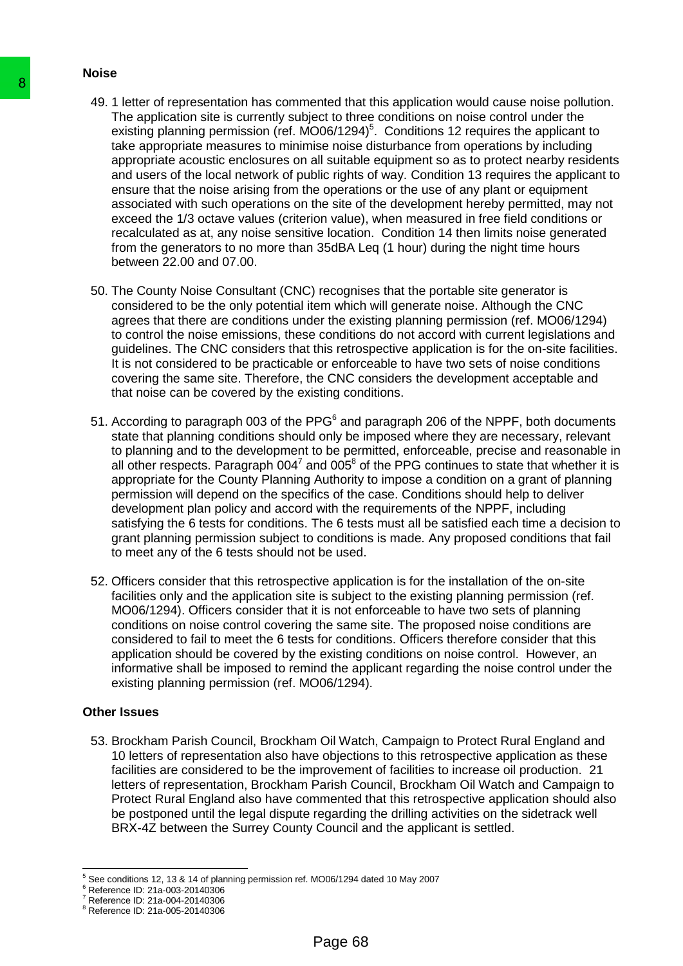## **Noise**

- 49. 1 letter of representation has commented that this application would cause noise pollution. The application site is currently subject to three conditions on noise control under the existing planning permission (ref.  $MO06/1294$ <sup>5</sup>. Conditions 12 requires the applicant to take appropriate measures to minimise noise disturbance from operations by including appropriate acoustic enclosures on all suitable equipment so as to protect nearby residents and users of the local network of public rights of way. Condition 13 requires the applicant to ensure that the noise arising from the operations or the use of any plant or equipment associated with such operations on the site of the development hereby permitted, may not exceed the 1/3 octave values (criterion value), when measured in free field conditions or recalculated as at, any noise sensitive location. Condition 14 then limits noise generated from the generators to no more than 35dBA Leq (1 hour) during the night time hours between 22.00 and 07.00. 49<br>
49. 1 letter of representation has commented that<br>
The application site is currently subject to three<br>
casting planning permission (ref. MO06/1294)<br>
take appropriate measures to minimise noise<br>
appropriate accoustic e
	- 50. The County Noise Consultant (CNC) recognises that the portable site generator is considered to be the only potential item which will generate noise. Although the CNC agrees that there are conditions under the existing planning permission (ref. MO06/1294) to control the noise emissions, these conditions do not accord with current legislations and guidelines. The CNC considers that this retrospective application is for the on-site facilities. It is not considered to be practicable or enforceable to have two sets of noise conditions covering the same site. Therefore, the CNC considers the development acceptable and that noise can be covered by the existing conditions.
	- 51. According to paragraph 003 of the PPG $<sup>6</sup>$  and paragraph 206 of the NPPF, both documents</sup> state that planning conditions should only be imposed where they are necessary, relevant to planning and to the development to be permitted, enforceable, precise and reasonable in all other respects. Paragraph  $004^7$  and  $005^8$  of the PPG continues to state that whether it is appropriate for the County Planning Authority to impose a condition on a grant of planning permission will depend on the specifics of the case. Conditions should help to deliver development plan policy and accord with the requirements of the NPPF, including satisfying the 6 tests for conditions. The 6 tests must all be satisfied each time a decision to grant planning permission subject to conditions is made. Any proposed conditions that fail to meet any of the 6 tests should not be used.
	- 52. Officers consider that this retrospective application is for the installation of the on-site facilities only and the application site is subject to the existing planning permission (ref. MO06/1294). Officers consider that it is not enforceable to have two sets of planning conditions on noise control covering the same site. The proposed noise conditions are considered to fail to meet the 6 tests for conditions. Officers therefore consider that this application should be covered by the existing conditions on noise control. However, an informative shall be imposed to remind the applicant regarding the noise control under the existing planning permission (ref. MO06/1294).

## **Other Issues**

53. Brockham Parish Council, Brockham Oil Watch, Campaign to Protect Rural England and 10 letters of representation also have objections to this retrospective application as these facilities are considered to be the improvement of facilities to increase oil production. 21 letters of representation, Brockham Parish Council, Brockham Oil Watch and Campaign to Protect Rural England also have commented that this retrospective application should also be postponed until the legal dispute regarding the drilling activities on the sidetrack well BRX-4Z between the Surrey County Council and the applicant is settled.

<sup>-</sup><sup>5</sup> See conditions 12, 13 & 14 of planning permission ref. MO06/1294 dated 10 May 2007

<sup>&</sup>lt;sup>6</sup> Reference ID: 21a-003-20140306

<sup>7</sup> Reference ID: 21a-004-20140306

<sup>8</sup> Reference ID: 21a-005-20140306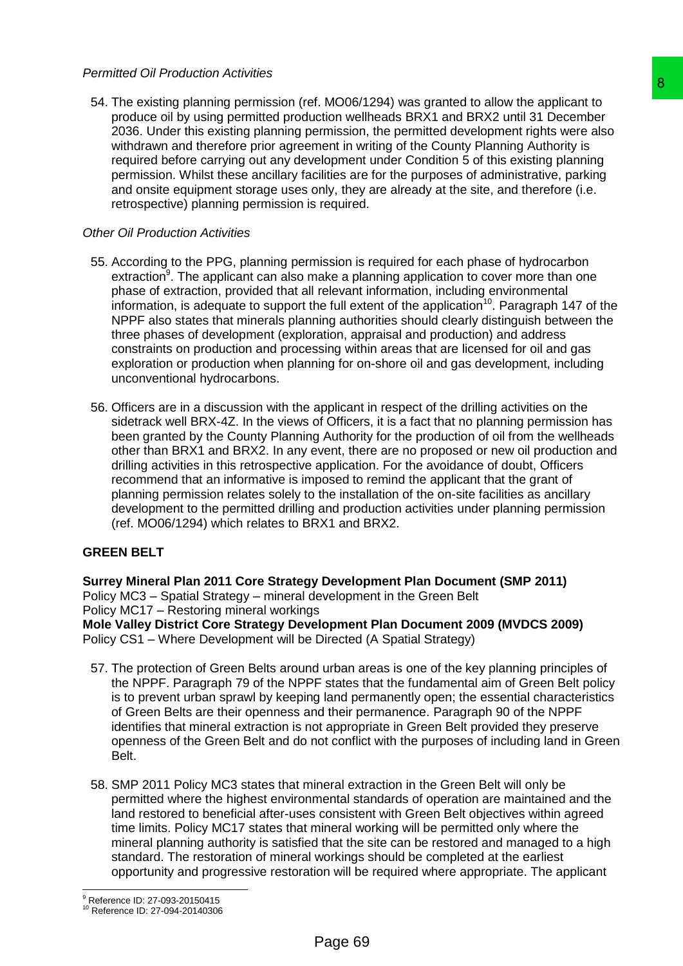## *Permitted Oil Production Activities*

54. The existing planning permission (ref. MO06/1294) was granted to allow the applicant to produce oil by using permitted production wellheads BRX1 and BRX2 until 31 December 2036. Under this existing planning permission, the permitted development rights were also withdrawn and therefore prior agreement in writing of the County Planning Authority is required before carrying out any development under Condition 5 of this existing planning permission. Whilst these ancillary facilities are for the purposes of administrative, parking and onsite equipment storage uses only, they are already at the site, and therefore (i.e. retrospective) planning permission is required.

## *Other Oil Production Activities*

- 55. According to the PPG, planning permission is required for each phase of hydrocarbon extraction<sup>9</sup>. The applicant can also make a planning application to cover more than one phase of extraction, provided that all relevant information, including environmental information, is adequate to support the full extent of the application<sup>10</sup>. Paragraph 147 of the NPPF also states that minerals planning authorities should clearly distinguish between the three phases of development (exploration, appraisal and production) and address constraints on production and processing within areas that are licensed for oil and gas exploration or production when planning for on-shore oil and gas development, including unconventional hydrocarbons. f. MO06/1294) was granted to allow the applicant to<br>cition wellheads BRX1 and BRX2 unii 31 December<br>ermission, the permitted development rights were also<br>ermission, the permitted development rights were also<br>elopment under
- 56. Officers are in a discussion with the applicant in respect of the drilling activities on the sidetrack well BRX-4Z. In the views of Officers, it is a fact that no planning permission has been granted by the County Planning Authority for the production of oil from the wellheads other than BRX1 and BRX2. In any event, there are no proposed or new oil production and drilling activities in this retrospective application. For the avoidance of doubt, Officers recommend that an informative is imposed to remind the applicant that the grant of planning permission relates solely to the installation of the on-site facilities as ancillary development to the permitted drilling and production activities under planning permission (ref. MO06/1294) which relates to BRX1 and BRX2.

## **GREEN BELT**

**Surrey Mineral Plan 2011 Core Strategy Development Plan Document (SMP 2011)** Policy MC3 – Spatial Strategy – mineral development in the Green Belt Policy MC17 – Restoring mineral workings **Mole Valley District Core Strategy Development Plan Document 2009 (MVDCS 2009)** Policy CS1 – Where Development will be Directed (A Spatial Strategy)

- 57. The protection of Green Belts around urban areas is one of the key planning principles of the NPPF. Paragraph 79 of the NPPF states that the fundamental aim of Green Belt policy is to prevent urban sprawl by keeping land permanently open; the essential characteristics of Green Belts are their openness and their permanence. Paragraph 90 of the NPPF identifies that mineral extraction is not appropriate in Green Belt provided they preserve openness of the Green Belt and do not conflict with the purposes of including land in Green Belt.
- 58. SMP 2011 Policy MC3 states that mineral extraction in the Green Belt will only be permitted where the highest environmental standards of operation are maintained and the land restored to beneficial after-uses consistent with Green Belt objectives within agreed time limits. Policy MC17 states that mineral working will be permitted only where the mineral planning authority is satisfied that the site can be restored and managed to a high standard. The restoration of mineral workings should be completed at the earliest opportunity and progressive restoration will be required where appropriate. The applicant

-

<sup>9</sup> Reference ID: 27-093-20150415

<sup>10</sup> Reference ID: 27-094-20140306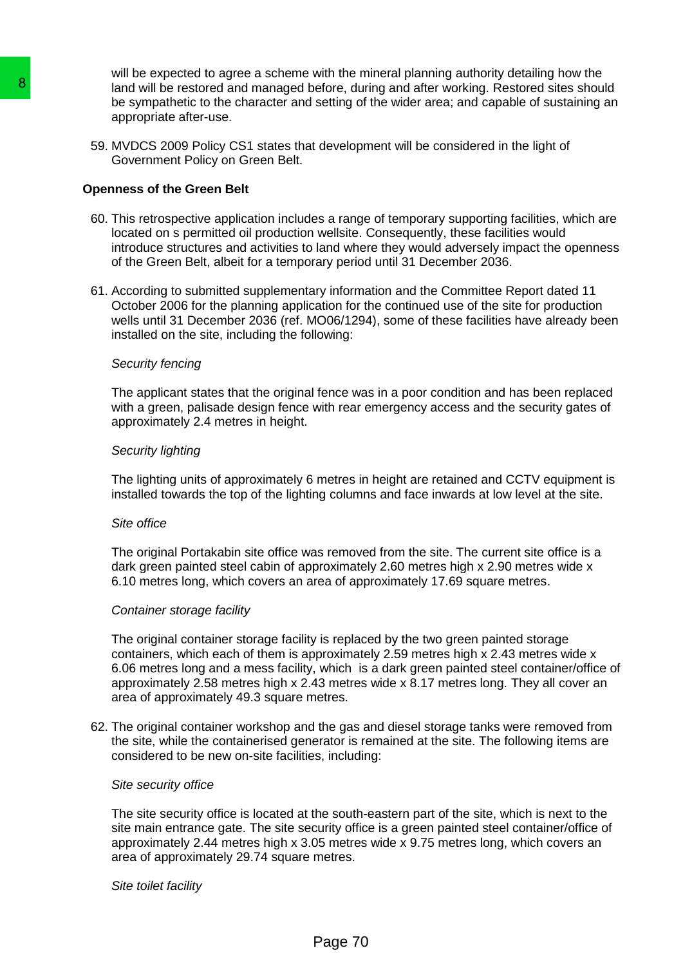will be expected to agree a scheme with the mineral planning authority detailing how the land will be restored and managed before, during and after working. Restored sites should be sympathetic to the character and setting of the wider area; and capable of sustaining an appropriate after-use.

59. MVDCS 2009 Policy CS1 states that development will be considered in the light of Government Policy on Green Belt.

### **Openness of the Green Belt**

- 60. This retrospective application includes a range of temporary supporting facilities, which are located on s permitted oil production wellsite. Consequently, these facilities would introduce structures and activities to land where they would adversely impact the openness of the Green Belt, albeit for a temporary period until 31 December 2036.
- 61. According to submitted supplementary information and the Committee Report dated 11 October 2006 for the planning application for the continued use of the site for production wells until 31 December 2036 (ref. MO06/1294), some of these facilities have already been installed on the site, including the following:

### *Security fencing*

The applicant states that the original fence was in a poor condition and has been replaced with a green, palisade design fence with rear emergency access and the security gates of approximately 2.4 metres in height.

#### *Security lighting*

The lighting units of approximately 6 metres in height are retained and CCTV equipment is installed towards the top of the lighting columns and face inwards at low level at the site.

#### *Site office*

The original Portakabin site office was removed from the site. The current site office is a dark green painted steel cabin of approximately 2.60 metres high x 2.90 metres wide x 6.10 metres long, which covers an area of approximately 17.69 square metres.

### *Container storage facility*

The original container storage facility is replaced by the two green painted storage containers, which each of them is approximately 2.59 metres high x 2.43 metres wide x 6.06 metres long and a mess facility, which is a dark green painted steel container/office of approximately 2.58 metres high x 2.43 metres wide x 8.17 metres long. They all cover an area of approximately 49.3 square metres. **B**<br>
land will be restored and managed before, during the sympathetic to the character and setting of<br>
the sympathetic to the character and setting of<br>
S9. MVDCS 2009 Policy CS1 states that develops<br>
Covernment Policy on G

62. The original container workshop and the gas and diesel storage tanks were removed from the site, while the containerised generator is remained at the site. The following items are considered to be new on-site facilities, including:

#### *Site security office*

The site security office is located at the south-eastern part of the site, which is next to the site main entrance gate. The site security office is a green painted steel container/office of approximately 2.44 metres high x 3.05 metres wide x 9.75 metres long, which covers an area of approximately 29.74 square metres.

#### *Site toilet facility*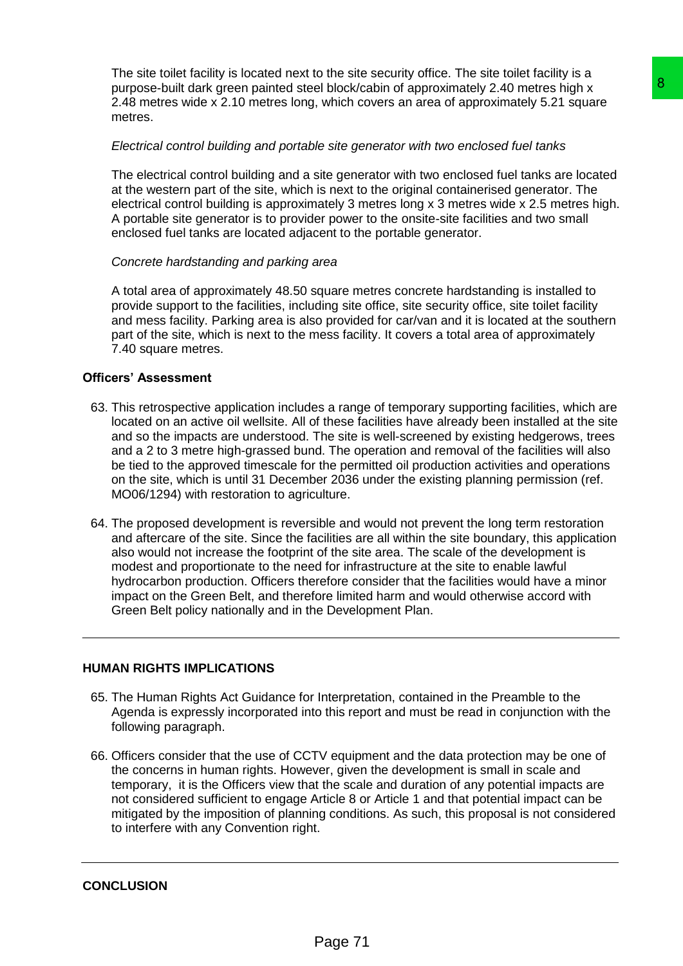The site toilet facility is located next to the site security office. The site toilet facility is a purpose-built dark green painted steel block/cabin of approximately 2.40 metres high x 2.48 metres wide x 2.10 metres long, which covers an area of approximately 5.21 square metres.

# *Electrical control building and portable site generator with two enclosed fuel tanks*

The electrical control building and a site generator with two enclosed fuel tanks are located at the western part of the site, which is next to the original containerised generator. The electrical control building is approximately 3 metres long x 3 metres wide x 2.5 metres high. A portable site generator is to provider power to the onsite-site facilities and two small enclosed fuel tanks are located adjacent to the portable generator.

# *Concrete hardstanding and parking area*

A total area of approximately 48.50 square metres concrete hardstanding is installed to provide support to the facilities, including site office, site security office, site toilet facility and mess facility. Parking area is also provided for car/van and it is located at the southern part of the site, which is next to the mess facility. It covers a total area of approximately 7.40 square metres.

# **Officers' Assessment**

- 63. This retrospective application includes a range of temporary supporting facilities, which are located on an active oil wellsite. All of these facilities have already been installed at the site and so the impacts are understood. The site is well-screened by existing hedgerows, trees and a 2 to 3 metre high-grassed bund. The operation and removal of the facilities will also be tied to the approved timescale for the permitted oil production activities and operations on the site, which is until 31 December 2036 under the existing planning permission (ref. MO06/1294) with restoration to agriculture. el block/cabin of approximately 2.40 metres high x<br>which covers an area of approximately 5.21 square<br>with covers an area of approximately 5.21 square<br>list be sine generator with two enclosed fuel tanks are located<br>is next
- 64. The proposed development is reversible and would not prevent the long term restoration and aftercare of the site. Since the facilities are all within the site boundary, this application also would not increase the footprint of the site area. The scale of the development is modest and proportionate to the need for infrastructure at the site to enable lawful hydrocarbon production. Officers therefore consider that the facilities would have a minor impact on the Green Belt, and therefore limited harm and would otherwise accord with Green Belt policy nationally and in the Development Plan.

# **HUMAN RIGHTS IMPLICATIONS**

- 65. The Human Rights Act Guidance for Interpretation, contained in the Preamble to the Agenda is expressly incorporated into this report and must be read in conjunction with the following paragraph.
- 66. Officers consider that the use of CCTV equipment and the data protection may be one of the concerns in human rights. However, given the development is small in scale and temporary, it is the Officers view that the scale and duration of any potential impacts are not considered sufficient to engage Article 8 or Article 1 and that potential impact can be mitigated by the imposition of planning conditions. As such, this proposal is not considered to interfere with any Convention right.

## **CONCLUSION**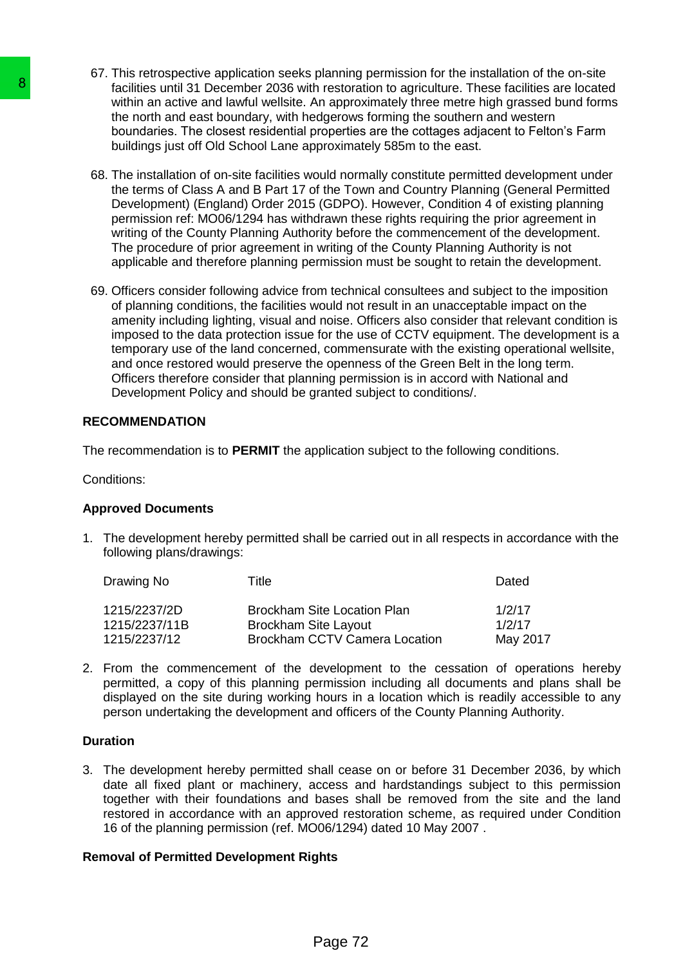- 67. This retrospective application seeks planning permission for the installation of the on-site facilities until 31 December 2036 with restoration to agriculture. These facilities are located within an active and lawful wellsite. An approximately three metre high grassed bund forms the north and east boundary, with hedgerows forming the southern and western boundaries. The closest residential properties are the cottages adjacent to Felton's Farm buildings just off Old School Lane approximately 585m to the east.
- 68. The installation of on-site facilities would normally constitute permitted development under the terms of Class A and B Part 17 of the Town and Country Planning (General Permitted Development) (England) Order 2015 (GDPO). However, Condition 4 of existing planning permission ref: MO06/1294 has withdrawn these rights requiring the prior agreement in writing of the County Planning Authority before the commencement of the development. The procedure of prior agreement in writing of the County Planning Authority is not applicable and therefore planning permission must be sought to retain the development.
- 69. Officers consider following advice from technical consultees and subject to the imposition of planning conditions, the facilities would not result in an unacceptable impact on the amenity including lighting, visual and noise. Officers also consider that relevant condition is imposed to the data protection issue for the use of CCTV equipment. The development is a temporary use of the land concerned, commensurate with the existing operational wellsite, and once restored would preserve the openness of the Green Belt in the long term. Officers therefore consider that planning permission is in accord with National and Development Policy and should be granted subject to conditions/. **S**<br>
factilities until 31 December 2036 with restoration<br>
within an active and lawd ulwellstile. An approx<br>
the north and east boundary with hedgrows<br>
boundaries. The closest residential properties<br>
boundaries. The closest

## **RECOMMENDATION**

The recommendation is to **PERMIT** the application subject to the following conditions.

Conditions:

## **Approved Documents**

1. The development hereby permitted shall be carried out in all respects in accordance with the following plans/drawings:

| Drawing No    | Title.                               | Dated    |
|---------------|--------------------------------------|----------|
| 1215/2237/2D  | <b>Brockham Site Location Plan</b>   | 1/2/17   |
| 1215/2237/11B | <b>Brockham Site Layout</b>          | 1/2/17   |
| 1215/2237/12  | <b>Brockham CCTV Camera Location</b> | May 2017 |

2. From the commencement of the development to the cessation of operations hereby permitted, a copy of this planning permission including all documents and plans shall be displayed on the site during working hours in a location which is readily accessible to any person undertaking the development and officers of the County Planning Authority.

### **Duration**

3. The development hereby permitted shall cease on or before 31 December 2036, by which date all fixed plant or machinery, access and hardstandings subject to this permission together with their foundations and bases shall be removed from the site and the land restored in accordance with an approved restoration scheme, as required under Condition 16 of the planning permission (ref. MO06/1294) dated 10 May 2007 .

## **Removal of Permitted Development Rights**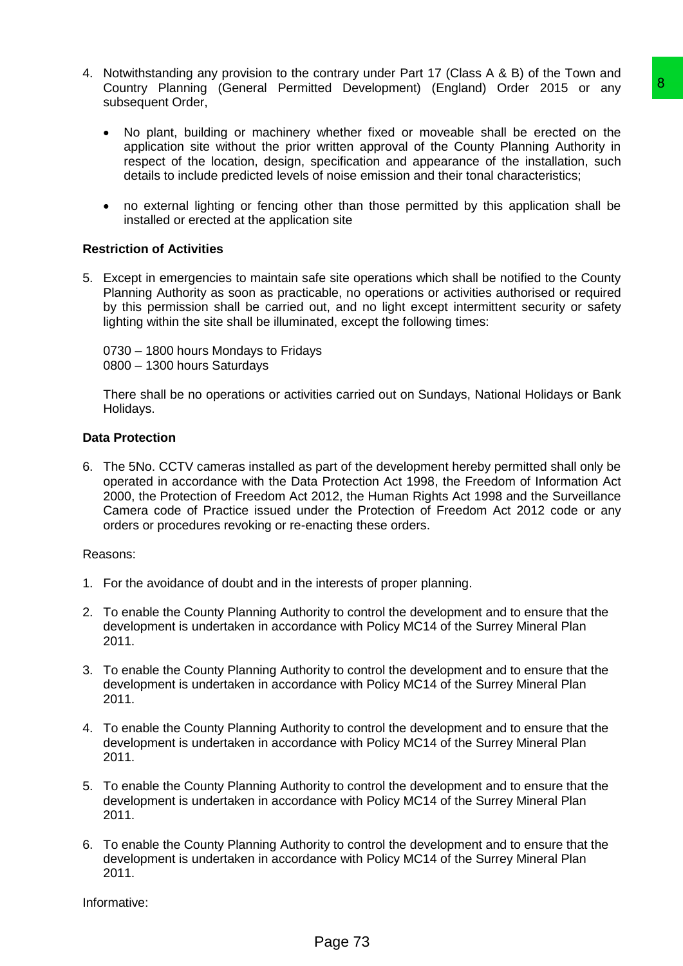- 4. Notwithstanding any provision to the contrary under Part 17 (Class A & B) of the Town and Country Planning (General Permitted Development) (England) Order 2015 or any subsequent Order,
	- No plant, building or machinery whether fixed or moveable shall be erected on the application site without the prior written approval of the County Planning Authority in respect of the location, design, specification and appearance of the installation, such details to include predicted levels of noise emission and their tonal characteristics;
	- no external lighting or fencing other than those permitted by this application shall be installed or erected at the application site

### **Restriction of Activities**

5. Except in emergencies to maintain safe site operations which shall be notified to the County Planning Authority as soon as practicable, no operations or activities authorised or required by this permission shall be carried out, and no light except intermittent security or safety lighting within the site shall be illuminated, except the following times:

0730 – 1800 hours Mondays to Fridays 0800 – 1300 hours Saturdays

There shall be no operations or activities carried out on Sundays, National Holidays or Bank Holidays.

### **Data Protection**

6. The 5No. CCTV cameras installed as part of the development hereby permitted shall only be operated in accordance with the Data Protection Act 1998, the Freedom of Information Act 2000, the Protection of Freedom Act 2012, the Human Rights Act 1998 and the Surveillance Camera code of Practice issued under the Protection of Freedom Act 2012 code or any orders or procedures revoking or re-enacting these orders. trade Development) (England) Order 2015 or any **Conservative Conservative Conservative**<br>
whether fixed or moveable shall be erected on the<br>
whether fixed or moveable shall be recoted on the<br>
whetma approaring of the County

### Reasons:

- 1. For the avoidance of doubt and in the interests of proper planning.
- 2. To enable the County Planning Authority to control the development and to ensure that the development is undertaken in accordance with Policy MC14 of the Surrey Mineral Plan 2011.
- 3. To enable the County Planning Authority to control the development and to ensure that the development is undertaken in accordance with Policy MC14 of the Surrey Mineral Plan 2011.
- 4. To enable the County Planning Authority to control the development and to ensure that the development is undertaken in accordance with Policy MC14 of the Surrey Mineral Plan 2011.
- 5. To enable the County Planning Authority to control the development and to ensure that the development is undertaken in accordance with Policy MC14 of the Surrey Mineral Plan 2011.
- 6. To enable the County Planning Authority to control the development and to ensure that the development is undertaken in accordance with Policy MC14 of the Surrey Mineral Plan 2011.

Informative: